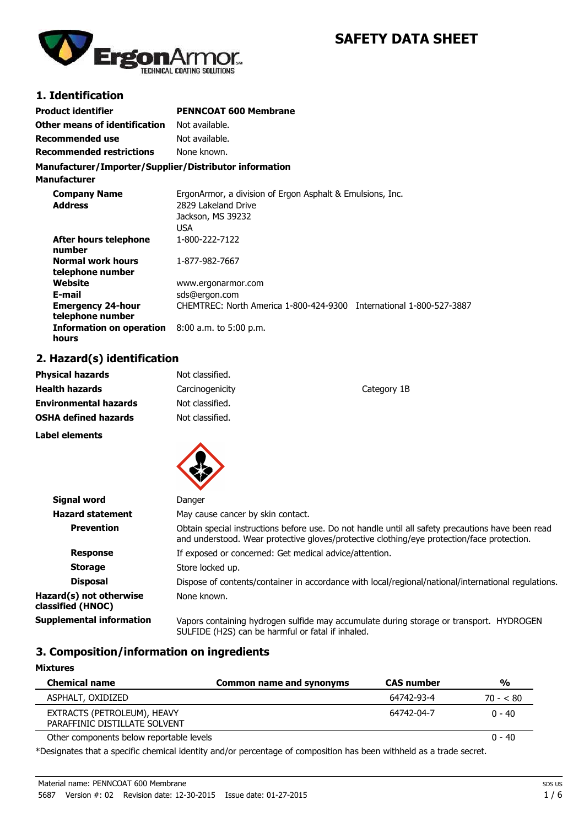

# **SAFETY DATA SHEET**

### **1. Identification**

| Product identifier                                       | <b>PENNCOAT 600 Membrane</b>                                                                                  |
|----------------------------------------------------------|---------------------------------------------------------------------------------------------------------------|
| Other means of identification                            | Not available.                                                                                                |
| <b>Recommended use</b>                                   | Not available.                                                                                                |
| <b>Recommended restrictions</b>                          | None known.                                                                                                   |
| Manufacturer/Importer/Supplier/Distributor information   |                                                                                                               |
| <b>Manufacturer</b>                                      |                                                                                                               |
| <b>Company Name</b><br><b>Address</b>                    | ErgonArmor, a division of Ergon Asphalt & Emulsions, Inc.<br>2829 Lakeland Drive<br>Jackson, MS 39232<br>USA. |
| After hours telephone<br>number                          | 1-800-222-7122                                                                                                |
| <b>Normal work hours</b><br>telephone number             | 1-877-982-7667                                                                                                |
| Website                                                  | www.ergonarmor.com                                                                                            |
| E-mail                                                   | sds@ergon.com                                                                                                 |
| <b>Emergency 24-hour</b><br>telephone number             | CHEMTREC: North America 1-800-424-9300 International 1-800-527-3887                                           |
| Information on operation 8:00 a.m. to 5:00 p.m.<br>hours |                                                                                                               |

# **2. Hazard(s) identification**

| <b>Physical hazards</b>      | Not classified. |             |
|------------------------------|-----------------|-------------|
| <b>Health hazards</b>        | Carcinogenicity | Category 1B |
| <b>Environmental hazards</b> | Not classified. |             |
| <b>OSHA defined hazards</b>  | Not classified. |             |
| Label elements               |                 |             |
|                              |                 |             |



| Signal word                                  | Danger                                                                                                                                                                                          |
|----------------------------------------------|-------------------------------------------------------------------------------------------------------------------------------------------------------------------------------------------------|
| <b>Hazard statement</b>                      | May cause cancer by skin contact.                                                                                                                                                               |
| <b>Prevention</b>                            | Obtain special instructions before use. Do not handle until all safety precautions have been read<br>and understood. Wear protective gloves/protective clothing/eye protection/face protection. |
| <b>Response</b>                              | If exposed or concerned: Get medical advice/attention.                                                                                                                                          |
| <b>Storage</b>                               | Store locked up.                                                                                                                                                                                |
| <b>Disposal</b>                              | Dispose of contents/container in accordance with local/regional/national/international regulations.                                                                                             |
| Hazard(s) not otherwise<br>classified (HNOC) | None known.                                                                                                                                                                                     |
| <b>Supplemental information</b>              | Vapors containing hydrogen sulfide may accumulate during storage or transport. HYDROGEN<br>SULFIDE (H2S) can be harmful or fatal if inhaled.                                                    |

### **3. Composition/information on ingredients**

| <b>Mixtures</b>                                              |                          |                   |               |
|--------------------------------------------------------------|--------------------------|-------------------|---------------|
| <b>Chemical name</b>                                         | Common name and synonyms | <b>CAS number</b> | $\frac{0}{0}$ |
| ASPHALT, OXIDIZED                                            |                          | 64742-93-4        | $70 - 80$     |
| EXTRACTS (PETROLEUM), HEAVY<br>PARAFFINIC DISTILLATE SOLVENT |                          | 64742-04-7        | $0 - 40$      |
| Other components below reportable levels                     |                          |                   | $0 - 40$      |

\*Designates that a specific chemical identity and/or percentage of composition has been withheld as a trade secret.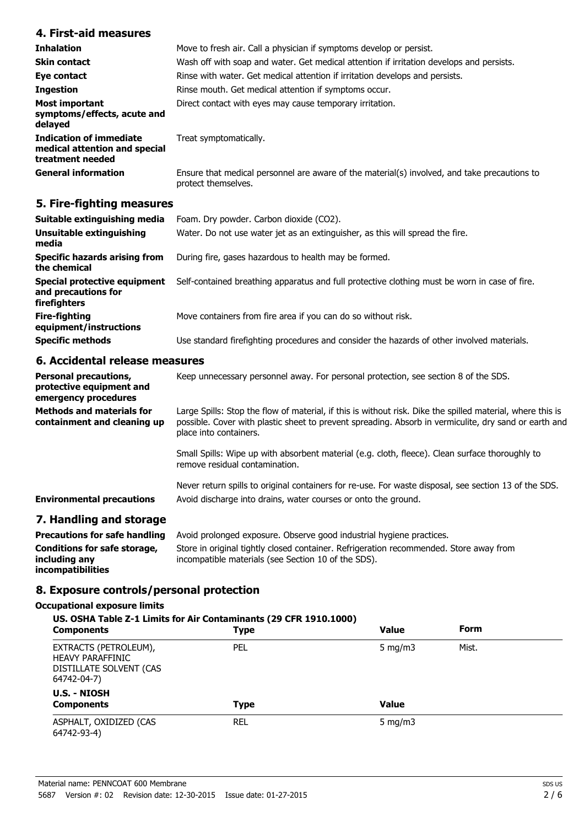### **4. First-aid measures**

| <b>Inhalation</b>                                                                   | Move to fresh air. Call a physician if symptoms develop or persist.                                                 |  |
|-------------------------------------------------------------------------------------|---------------------------------------------------------------------------------------------------------------------|--|
| <b>Skin contact</b>                                                                 | Wash off with soap and water. Get medical attention if irritation develops and persists.                            |  |
| Eye contact                                                                         | Rinse with water. Get medical attention if irritation develops and persists.                                        |  |
| <b>Ingestion</b>                                                                    | Rinse mouth. Get medical attention if symptoms occur.                                                               |  |
| Most important<br>symptoms/effects, acute and<br>delayed                            | Direct contact with eyes may cause temporary irritation.                                                            |  |
| <b>Indication of immediate</b><br>medical attention and special<br>treatment needed | Treat symptomatically.                                                                                              |  |
| <b>General information</b>                                                          | Ensure that medical personnel are aware of the material(s) involved, and take precautions to<br>protect themselves. |  |

## **5. Fire-fighting measures**

| Suitable extinguishing media                                        | Foam. Dry powder. Carbon dioxide (CO2).                                                       |
|---------------------------------------------------------------------|-----------------------------------------------------------------------------------------------|
| Unsuitable extinguishing<br>media                                   | Water. Do not use water jet as an extinguisher, as this will spread the fire.                 |
| <b>Specific hazards arising from</b><br>the chemical                | During fire, gases hazardous to health may be formed.                                         |
| Special protective equipment<br>and precautions for<br>firefighters | Self-contained breathing apparatus and full protective clothing must be worn in case of fire. |
| Fire-fighting<br>equipment/instructions                             | Move containers from fire area if you can do so without risk.                                 |
| <b>Specific methods</b>                                             | Use standard firefighting procedures and consider the hazards of other involved materials.    |

## **6. Accidental release measures**

| <b>Personal precautions,</b><br>protective equipment and<br>emergency procedures | Keep unnecessary personnel away. For personal protection, see section 8 of the SDS.                                                                                                                                                           |
|----------------------------------------------------------------------------------|-----------------------------------------------------------------------------------------------------------------------------------------------------------------------------------------------------------------------------------------------|
| <b>Methods and materials for</b><br>containment and cleaning up                  | Large Spills: Stop the flow of material, if this is without risk. Dike the spilled material, where this is<br>possible. Cover with plastic sheet to prevent spreading. Absorb in vermiculite, dry sand or earth and<br>place into containers. |
|                                                                                  | Small Spills: Wipe up with absorbent material (e.g. cloth, fleece). Clean surface thoroughly to<br>remove residual contamination.                                                                                                             |
| <b>Environmental precautions</b>                                                 | Never return spills to original containers for re-use. For waste disposal, see section 13 of the SDS.<br>Avoid discharge into drains, water courses or onto the ground.                                                                       |
| 7. Handling and storage                                                          | Dreascutions for safe bondling - Avoid professed ovposive Observe seed industrial busines prostiges                                                                                                                                           |

### **Precautions for safe handling** Avoid prolonged exposure. Observe good industrial hygiene practices. **Conditions for safe storage, including any incompatibilities** Store in original tightly closed container. Refrigeration recommended. Store away from incompatible materials (see Section 10 of the SDS).

### **8. Exposure controls/personal protection**

### **Occupational exposure limits**

| US. OSHA Table Z-1 Limits for Air Contaminants (29 CFR 1910.1000)                          |             |              |             |  |
|--------------------------------------------------------------------------------------------|-------------|--------------|-------------|--|
| <b>Components</b>                                                                          | <b>Type</b> | Value        | <b>Form</b> |  |
| EXTRACTS (PETROLEUM),<br><b>HEAVY PARAFFINIC</b><br>DISTILLATE SOLVENT (CAS<br>64742-04-7) | <b>PEL</b>  | 5 mg/m $3$   | Mist.       |  |
| U.S. - NIOSH<br><b>Components</b>                                                          | <b>Type</b> | <b>Value</b> |             |  |
| ASPHALT, OXIDIZED (CAS<br>64742-93-4)                                                      | REL         | 5 mg/m $3$   |             |  |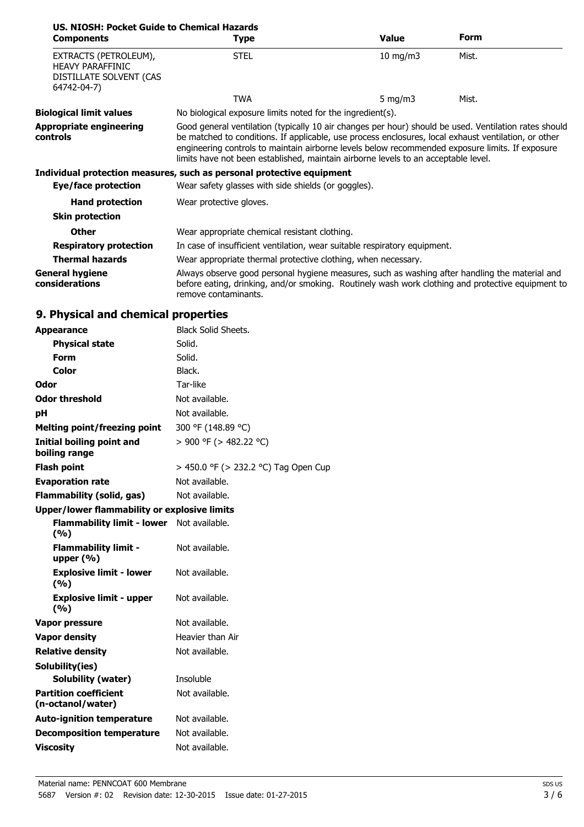| US. NIOSH: Pocket Guide to Chemical Hazards                                                |                                                                                                                                                                                                                                                                                                                                                                                                        |               |             |
|--------------------------------------------------------------------------------------------|--------------------------------------------------------------------------------------------------------------------------------------------------------------------------------------------------------------------------------------------------------------------------------------------------------------------------------------------------------------------------------------------------------|---------------|-------------|
| <b>Components</b>                                                                          | <b>Type</b>                                                                                                                                                                                                                                                                                                                                                                                            | <b>Value</b>  | <b>Form</b> |
| EXTRACTS (PETROLEUM),<br><b>HEAVY PARAFFINIC</b><br>DISTILLATE SOLVENT (CAS<br>64742-04-7) | <b>STEL</b>                                                                                                                                                                                                                                                                                                                                                                                            | $10$ mg/m $3$ | Mist.       |
|                                                                                            | <b>TWA</b>                                                                                                                                                                                                                                                                                                                                                                                             | 5 mg/m $3$    | Mist.       |
| <b>Biological limit values</b>                                                             | No biological exposure limits noted for the ingredient(s).                                                                                                                                                                                                                                                                                                                                             |               |             |
| <b>Appropriate engineering</b><br>controls                                                 | Good general ventilation (typically 10 air changes per hour) should be used. Ventilation rates should<br>be matched to conditions. If applicable, use process enclosures, local exhaust ventilation, or other<br>engineering controls to maintain airborne levels below recommended exposure limits. If exposure<br>limits have not been established, maintain airborne levels to an acceptable level. |               |             |
|                                                                                            | Individual protection measures, such as personal protective equipment                                                                                                                                                                                                                                                                                                                                  |               |             |
| Eye/face protection                                                                        | Wear safety glasses with side shields (or goggles).                                                                                                                                                                                                                                                                                                                                                    |               |             |
| <b>Hand protection</b>                                                                     | Wear protective gloves.                                                                                                                                                                                                                                                                                                                                                                                |               |             |
| <b>Skin protection</b>                                                                     |                                                                                                                                                                                                                                                                                                                                                                                                        |               |             |
| <b>Other</b>                                                                               | Wear appropriate chemical resistant clothing.                                                                                                                                                                                                                                                                                                                                                          |               |             |
| <b>Respiratory protection</b>                                                              | In case of insufficient ventilation, wear suitable respiratory equipment.                                                                                                                                                                                                                                                                                                                              |               |             |
| <b>Thermal hazards</b>                                                                     | Wear appropriate thermal protective clothing, when necessary.                                                                                                                                                                                                                                                                                                                                          |               |             |
| <b>General hygiene</b><br>considerations                                                   | Always observe good personal hygiene measures, such as washing after handling the material and<br>before eating, drinking, and/or smoking. Routinely wash work clothing and protective equipment to<br>remove contaminants.                                                                                                                                                                            |               |             |

# **9. Physical and chemical properties**

| <b>Appearance</b>                                   | <b>Black Solid Sheets.</b>           |
|-----------------------------------------------------|--------------------------------------|
| <b>Physical state</b>                               | Solid.                               |
| <b>Form</b>                                         | Solid.                               |
| Color                                               | Black.                               |
| <b>Odor</b>                                         | Tar-like                             |
| <b>Odor threshold</b>                               | Not available.                       |
| рH                                                  | Not available.                       |
| <b>Melting point/freezing point</b>                 | 300 °F (148.89 °C)                   |
| Initial boiling point and<br>boiling range          | > 900 °F (> 482.22 °C)               |
| <b>Flash point</b>                                  | > 450.0 °F (> 232.2 °C) Tag Open Cup |
| <b>Evaporation rate</b>                             | Not available.                       |
| <b>Flammability (solid, gas)</b>                    | Not available.                       |
| <b>Upper/lower flammability or explosive limits</b> |                                      |
| <b>Flammability limit - lower</b><br>(9/6)          | Not available.                       |
| <b>Flammability limit -</b><br>upper $(% )$         | Not available.                       |
| <b>Explosive limit - lower</b><br>(%)               | Not available.                       |
| <b>Explosive limit - upper</b><br>(%)               | Not available.                       |
| Vapor pressure                                      | Not available.                       |
| <b>Vapor density</b>                                | Heavier than Air                     |
| <b>Relative density</b>                             | Not available.                       |
| Solubility(ies)                                     |                                      |
| <b>Solubility (water)</b>                           | Insoluble                            |
| <b>Partition coefficient</b><br>(n-octanol/water)   | Not available.                       |
| <b>Auto-ignition temperature</b>                    | Not available.                       |
| <b>Decomposition temperature</b>                    | Not available.                       |
| <b>Viscosity</b>                                    | Not available.                       |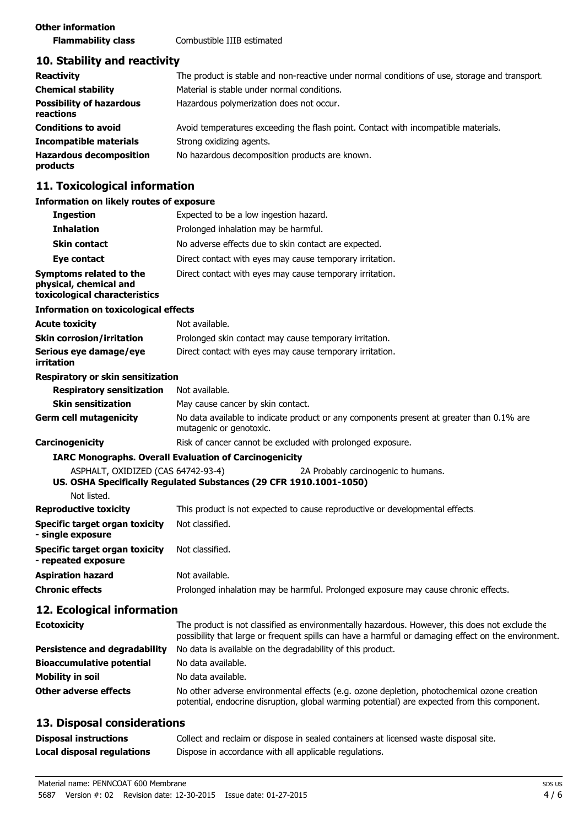### **10. Stability and reactivity**

| <b>Reactivity</b>                            | The product is stable and non-reactive under normal conditions of use, storage and transport. |
|----------------------------------------------|-----------------------------------------------------------------------------------------------|
| <b>Chemical stability</b>                    | Material is stable under normal conditions.                                                   |
| <b>Possibility of hazardous</b><br>reactions | Hazardous polymerization does not occur.                                                      |
| <b>Conditions to avoid</b>                   | Avoid temperatures exceeding the flash point. Contact with incompatible materials.            |
| <b>Incompatible materials</b>                | Strong oxidizing agents.                                                                      |
| <b>Hazardous decomposition</b><br>products   | No hazardous decomposition products are known.                                                |

### **11. Toxicological information**

## **Information on likely routes of exposure**

| INTER THROUGH THE TRUCK TO LEAD THAT THE TRUCK THE TRUCK THE TRUCK THE TRUCK THE TRUCK THE TRUCK THE TRUCK TH |                                                                                                                     |  |  |
|---------------------------------------------------------------------------------------------------------------|---------------------------------------------------------------------------------------------------------------------|--|--|
| <b>Ingestion</b>                                                                                              | Expected to be a low ingestion hazard.                                                                              |  |  |
| <b>Inhalation</b>                                                                                             | Prolonged inhalation may be harmful.                                                                                |  |  |
| <b>Skin contact</b>                                                                                           | No adverse effects due to skin contact are expected.                                                                |  |  |
| Eye contact                                                                                                   | Direct contact with eyes may cause temporary irritation.                                                            |  |  |
| Symptoms related to the<br>physical, chemical and<br>toxicological characteristics                            | Direct contact with eyes may cause temporary irritation.                                                            |  |  |
| <b>Information on toxicological effects</b>                                                                   |                                                                                                                     |  |  |
| <b>Acute toxicity</b>                                                                                         | Not available.                                                                                                      |  |  |
| <b>Skin corrosion/irritation</b>                                                                              | Prolonged skin contact may cause temporary irritation.                                                              |  |  |
| Serious eye damage/eye<br>irritation                                                                          | Direct contact with eyes may cause temporary irritation.                                                            |  |  |
| Respiratory or skin sensitization                                                                             |                                                                                                                     |  |  |
| <b>Respiratory sensitization</b>                                                                              | Not available.                                                                                                      |  |  |
| <b>Skin sensitization</b>                                                                                     | May cause cancer by skin contact.                                                                                   |  |  |
| <b>Germ cell mutagenicity</b>                                                                                 | No data available to indicate product or any components present at greater than 0.1% are<br>mutagenic or genotoxic. |  |  |
| Carcinogenicity                                                                                               | Risk of cancer cannot be excluded with prolonged exposure.                                                          |  |  |
|                                                                                                               | <b>IARC Monographs. Overall Evaluation of Carcinogenicity</b>                                                       |  |  |
| ASPHALT, OXIDIZED (CAS 64742-93-4)                                                                            | 2A Probably carcinogenic to humans.                                                                                 |  |  |
|                                                                                                               | US. OSHA Specifically Regulated Substances (29 CFR 1910.1001-1050)                                                  |  |  |
| Not listed.                                                                                                   |                                                                                                                     |  |  |
| <b>Reproductive toxicity</b>                                                                                  | This product is not expected to cause reproductive or developmental effects.                                        |  |  |
| <b>Specific target organ toxicity</b><br>- single exposure                                                    | Not classified.                                                                                                     |  |  |
| Specific target organ toxicity<br>- repeated exposure                                                         | Not classified.                                                                                                     |  |  |
| <b>Aspiration hazard</b>                                                                                      | Not available.                                                                                                      |  |  |
| <b>Chronic effects</b>                                                                                        | Prolonged inhalation may be harmful. Prolonged exposure may cause chronic effects.                                  |  |  |
| 12. Ecological information                                                                                    |                                                                                                                     |  |  |

### **Ecotoxicity** The product is not classified as environmentally hazardous. However, this does not exclude the possibility that large or frequent spills can have a harmful or damaging effect on the environment. **Persistence and degradability** No data is available on the degradability of this product. **Bioaccumulative potential** No data available. **Mobility in soil** No data available. **Other adverse effects** No other adverse environmental effects (e.g. ozone depletion, photochemical ozone creation potential, endocrine disruption, global warming potential) are expected from this component.

### **13. Disposal considerations**

| <b>Disposal instructions</b> | Collect and reclaim or dispose in sealed containers at licensed waste disposal site. |
|------------------------------|--------------------------------------------------------------------------------------|
| Local disposal regulations   | Dispose in accordance with all applicable regulations.                               |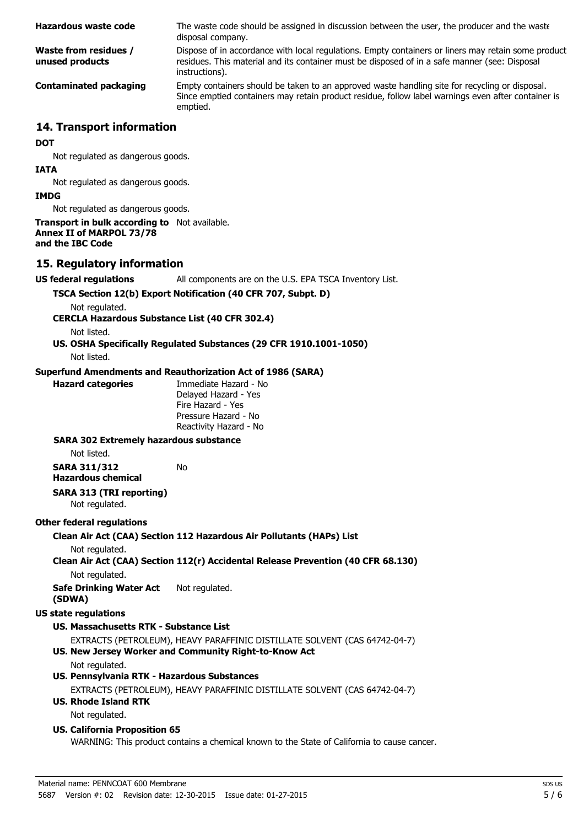| Hazardous waste code                     | The waste code should be assigned in discussion between the user, the producer and the waste<br>disposal company.                                                                                                      |  |
|------------------------------------------|------------------------------------------------------------------------------------------------------------------------------------------------------------------------------------------------------------------------|--|
| Waste from residues /<br>unused products | Dispose of in accordance with local regulations. Empty containers or liners may retain some product<br>residues. This material and its container must be disposed of in a safe manner (see: Disposal<br>instructions). |  |
| <b>Contaminated packaging</b>            | Empty containers should be taken to an approved waste handling site for recycling or disposal.<br>Since emptied containers may retain product residue, follow label warnings even after container is<br>emptied.       |  |
| 14. Transport information                |                                                                                                                                                                                                                        |  |
| <b>DOT</b>                               |                                                                                                                                                                                                                        |  |
| Not regulated as dangerous goods.        |                                                                                                                                                                                                                        |  |
| <b>IATA</b>                              |                                                                                                                                                                                                                        |  |
| Not regulated as dangerous goods.        |                                                                                                                                                                                                                        |  |
|                                          |                                                                                                                                                                                                                        |  |

### **IMDG**

Not regulated as dangerous goods.

### **Transport in bulk according to** Not available. **Annex II of MARPOL 73/78 and the IBC Code**

### **15. Regulatory information**

**US federal regulations** All components are on the U.S. EPA TSCA Inventory List.

### **TSCA Section 12(b) Export Notification (40 CFR 707, Subpt. D)**

Not regulated.

### **CERCLA Hazardous Substance List (40 CFR 302.4)**

Not listed.

**US. OSHA Specifically Regulated Substances (29 CFR 1910.1001-1050)**

Not listed.

### **Superfund Amendments and Reauthorization Act of 1986 (SARA)**

No

| <b>Hazard catego</b> |  |
|----------------------|--|
|                      |  |

**Paries** Immediate Hazard - No Delayed Hazard - Yes Fire Hazard - Yes Pressure Hazard - No Reactivity Hazard - No

### **SARA 302 Extremely hazardous substance**

Not listed.

**SARA 311/312 Hazardous chemical**

### **SARA 313 (TRI reporting)**

Not regulated.

### **Other federal regulations**

### **Clean Air Act (CAA) Section 112 Hazardous Air Pollutants (HAPs) List**

Not regulated.

### **Clean Air Act (CAA) Section 112(r) Accidental Release Prevention (40 CFR 68.130)**

Not regulated.

**Safe Drinking Water Act (SDWA)** Not regulated.

### **US state regulations**

### **US. Massachusetts RTK - Substance List**

EXTRACTS (PETROLEUM), HEAVY PARAFFINIC DISTILLATE SOLVENT (CAS 64742-04-7)

### **US. New Jersey Worker and Community Right-to-Know Act**

Not regulated.

### **US. Pennsylvania RTK - Hazardous Substances**

EXTRACTS (PETROLEUM), HEAVY PARAFFINIC DISTILLATE SOLVENT (CAS 64742-04-7)

### **US. Rhode Island RTK**

Not regulated.

### **US. California Proposition 65**

WARNING: This product contains a chemical known to the State of California to cause cancer.